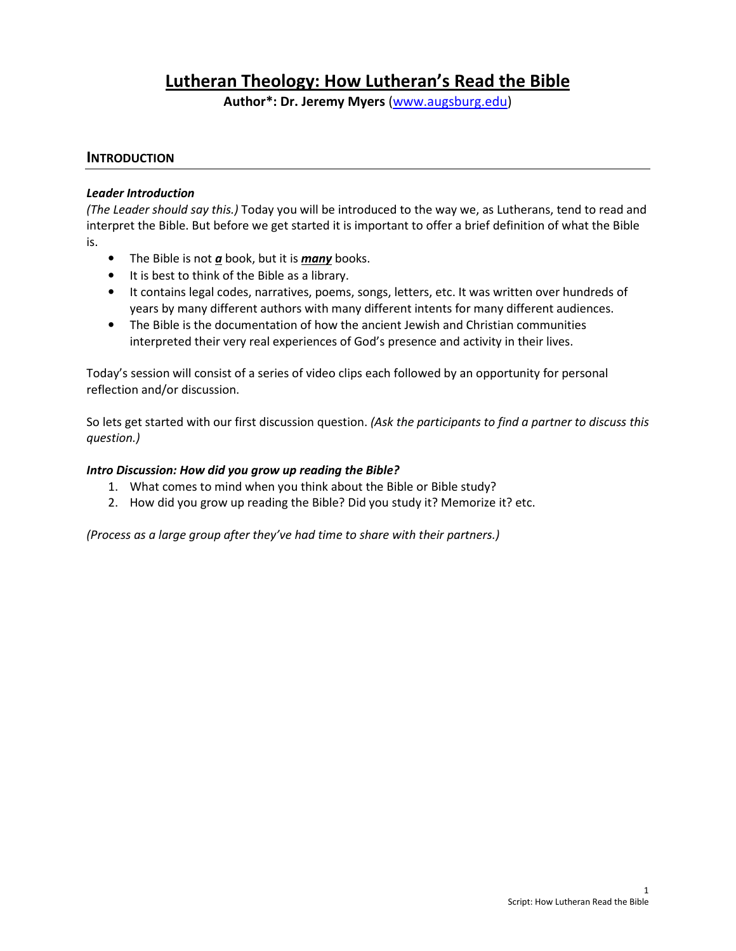# Lutheran Theology: How Lutheran's Read the Bible

Author\*: Dr. Jeremy Myers (www.augsburg.edu)

# **INTRODUCTION**

#### Leader Introduction

(The Leader should say this.) Today you will be introduced to the way we, as Lutherans, tend to read and interpret the Bible. But before we get started it is important to offer a brief definition of what the Bible is.

- The Bible is not  $\underline{a}$  book, but it is  $\underline{many}$  books.
- It is best to think of the Bible as a library.
- It contains legal codes, narratives, poems, songs, letters, etc. It was written over hundreds of years by many different authors with many different intents for many different audiences.
- The Bible is the documentation of how the ancient Jewish and Christian communities interpreted their very real experiences of God's presence and activity in their lives.

Today's session will consist of a series of video clips each followed by an opportunity for personal reflection and/or discussion.

So lets get started with our first discussion question. (Ask the participants to find a partner to discuss this question.)

#### Intro Discussion: How did you grow up reading the Bible?

- 1. What comes to mind when you think about the Bible or Bible study?
- 2. How did you grow up reading the Bible? Did you study it? Memorize it? etc.

(Process as a large group after they've had time to share with their partners.)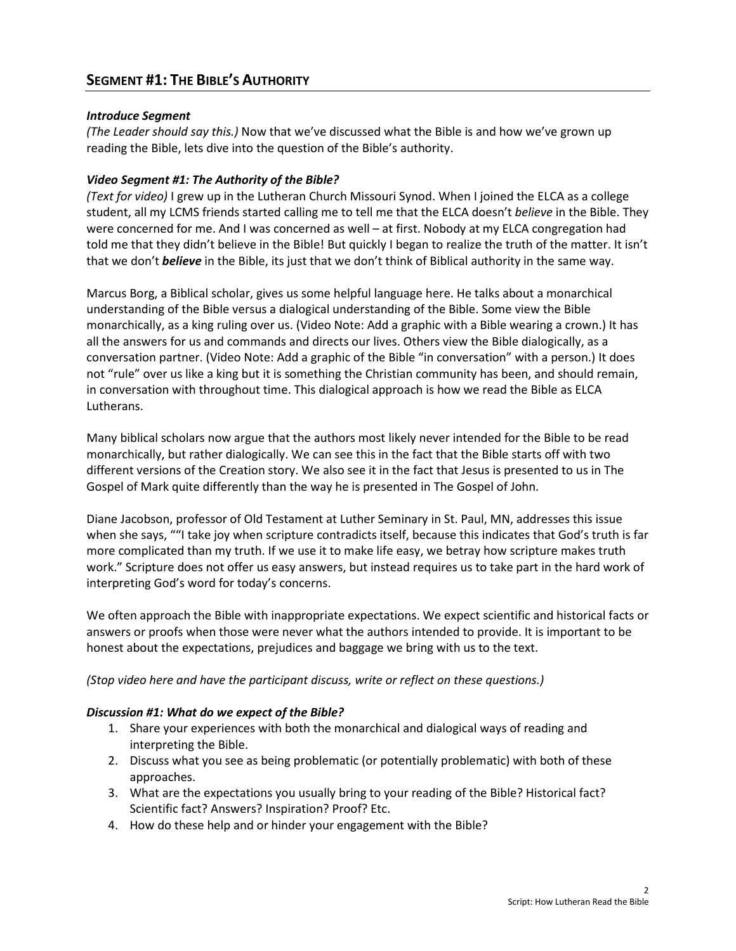# Introduce Segment

(The Leader should say this.) Now that we've discussed what the Bible is and how we've grown up reading the Bible, lets dive into the question of the Bible's authority.

# Video Segment #1: The Authority of the Bible?

(Text for video) I grew up in the Lutheran Church Missouri Synod. When I joined the ELCA as a college student, all my LCMS friends started calling me to tell me that the ELCA doesn't believe in the Bible. They were concerned for me. And I was concerned as well – at first. Nobody at my ELCA congregation had told me that they didn't believe in the Bible! But quickly I began to realize the truth of the matter. It isn't that we don't **believe** in the Bible, its just that we don't think of Biblical authority in the same way.

Marcus Borg, a Biblical scholar, gives us some helpful language here. He talks about a monarchical understanding of the Bible versus a dialogical understanding of the Bible. Some view the Bible monarchically, as a king ruling over us. (Video Note: Add a graphic with a Bible wearing a crown.) It has all the answers for us and commands and directs our lives. Others view the Bible dialogically, as a conversation partner. (Video Note: Add a graphic of the Bible "in conversation" with a person.) It does not "rule" over us like a king but it is something the Christian community has been, and should remain, in conversation with throughout time. This dialogical approach is how we read the Bible as ELCA Lutherans.

Many biblical scholars now argue that the authors most likely never intended for the Bible to be read monarchically, but rather dialogically. We can see this in the fact that the Bible starts off with two different versions of the Creation story. We also see it in the fact that Jesus is presented to us in The Gospel of Mark quite differently than the way he is presented in The Gospel of John.

Diane Jacobson, professor of Old Testament at Luther Seminary in St. Paul, MN, addresses this issue when she says, ""I take joy when scripture contradicts itself, because this indicates that God's truth is far more complicated than my truth. If we use it to make life easy, we betray how scripture makes truth work." Scripture does not offer us easy answers, but instead requires us to take part in the hard work of interpreting God's word for today's concerns.

We often approach the Bible with inappropriate expectations. We expect scientific and historical facts or answers or proofs when those were never what the authors intended to provide. It is important to be honest about the expectations, prejudices and baggage we bring with us to the text.

#### (Stop video here and have the participant discuss, write or reflect on these questions.)

#### Discussion #1: What do we expect of the Bible?

- 1. Share your experiences with both the monarchical and dialogical ways of reading and interpreting the Bible.
- 2. Discuss what you see as being problematic (or potentially problematic) with both of these approaches.
- 3. What are the expectations you usually bring to your reading of the Bible? Historical fact? Scientific fact? Answers? Inspiration? Proof? Etc.
- 4. How do these help and or hinder your engagement with the Bible?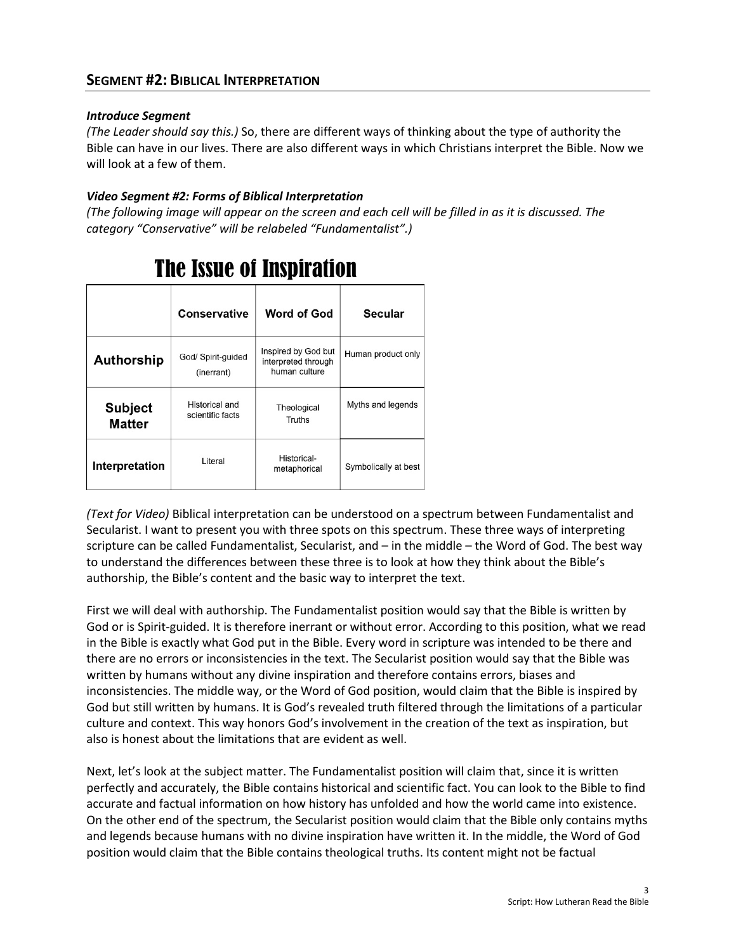# Introduce Segment

(The Leader should say this.) So, there are different ways of thinking about the type of authority the Bible can have in our lives. There are also different ways in which Christians interpret the Bible. Now we will look at a few of them.

# Video Segment #2: Forms of Biblical Interpretation

(The following image will appear on the screen and each cell will be filled in as it is discussed. The category "Conservative" will be relabeled "Fundamentalist".)

|                                 | Conservative                       | <b>Word of God</b>                                          | Secular              |
|---------------------------------|------------------------------------|-------------------------------------------------------------|----------------------|
| Authorship                      | God/ Spirit-guided<br>(inerrant)   | Inspired by God but<br>interpreted through<br>human culture | Human product only   |
| <b>Subject</b><br><b>Matter</b> | Historical and<br>scientific facts | Theological<br>Truths                                       | Myths and legends    |
| Interpretation                  | Literal                            | Historical-<br>metaphorical                                 | Symbolically at best |

# **The Issue of Inspiration**

(Text for Video) Biblical interpretation can be understood on a spectrum between Fundamentalist and Secularist. I want to present you with three spots on this spectrum. These three ways of interpreting scripture can be called Fundamentalist, Secularist, and – in the middle – the Word of God. The best way to understand the differences between these three is to look at how they think about the Bible's authorship, the Bible's content and the basic way to interpret the text.

First we will deal with authorship. The Fundamentalist position would say that the Bible is written by God or is Spirit-guided. It is therefore inerrant or without error. According to this position, what we read in the Bible is exactly what God put in the Bible. Every word in scripture was intended to be there and there are no errors or inconsistencies in the text. The Secularist position would say that the Bible was written by humans without any divine inspiration and therefore contains errors, biases and inconsistencies. The middle way, or the Word of God position, would claim that the Bible is inspired by God but still written by humans. It is God's revealed truth filtered through the limitations of a particular culture and context. This way honors God's involvement in the creation of the text as inspiration, but also is honest about the limitations that are evident as well.

Next, let's look at the subject matter. The Fundamentalist position will claim that, since it is written perfectly and accurately, the Bible contains historical and scientific fact. You can look to the Bible to find accurate and factual information on how history has unfolded and how the world came into existence. On the other end of the spectrum, the Secularist position would claim that the Bible only contains myths and legends because humans with no divine inspiration have written it. In the middle, the Word of God position would claim that the Bible contains theological truths. Its content might not be factual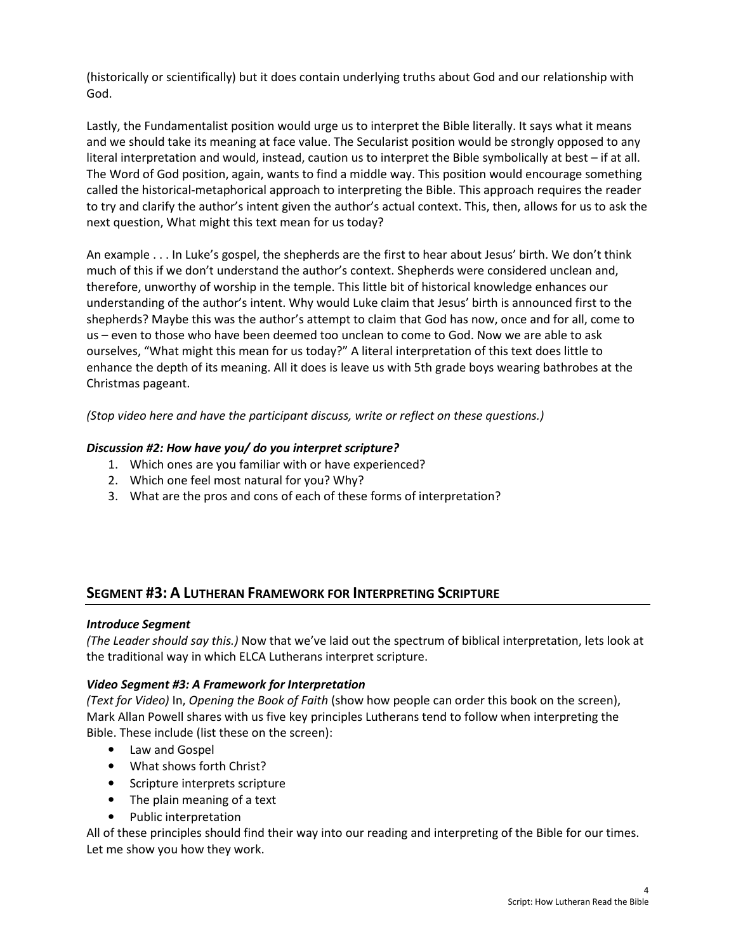(historically or scientifically) but it does contain underlying truths about God and our relationship with God.

Lastly, the Fundamentalist position would urge us to interpret the Bible literally. It says what it means and we should take its meaning at face value. The Secularist position would be strongly opposed to any literal interpretation and would, instead, caution us to interpret the Bible symbolically at best – if at all. The Word of God position, again, wants to find a middle way. This position would encourage something called the historical-metaphorical approach to interpreting the Bible. This approach requires the reader to try and clarify the author's intent given the author's actual context. This, then, allows for us to ask the next question, What might this text mean for us today?

An example . . . In Luke's gospel, the shepherds are the first to hear about Jesus' birth. We don't think much of this if we don't understand the author's context. Shepherds were considered unclean and, therefore, unworthy of worship in the temple. This little bit of historical knowledge enhances our understanding of the author's intent. Why would Luke claim that Jesus' birth is announced first to the shepherds? Maybe this was the author's attempt to claim that God has now, once and for all, come to us – even to those who have been deemed too unclean to come to God. Now we are able to ask ourselves, "What might this mean for us today?" A literal interpretation of this text does little to enhance the depth of its meaning. All it does is leave us with 5th grade boys wearing bathrobes at the Christmas pageant.

(Stop video here and have the participant discuss, write or reflect on these questions.)

#### Discussion #2: How have you/ do you interpret scripture?

- 1. Which ones are you familiar with or have experienced?
- 2. Which one feel most natural for you? Why?
- 3. What are the pros and cons of each of these forms of interpretation?

# SEGMENT #3: A LUTHERAN FRAMEWORK FOR INTERPRETING SCRIPTURE

#### Introduce Segment

(The Leader should say this.) Now that we've laid out the spectrum of biblical interpretation, lets look at the traditional way in which ELCA Lutherans interpret scripture.

#### Video Segment #3: A Framework for Interpretation

(Text for Video) In, Opening the Book of Faith (show how people can order this book on the screen), Mark Allan Powell shares with us five key principles Lutherans tend to follow when interpreting the Bible. These include (list these on the screen):

- Law and Gospel
- What shows forth Christ?
- Scripture interprets scripture
- The plain meaning of a text
- Public interpretation

All of these principles should find their way into our reading and interpreting of the Bible for our times. Let me show you how they work.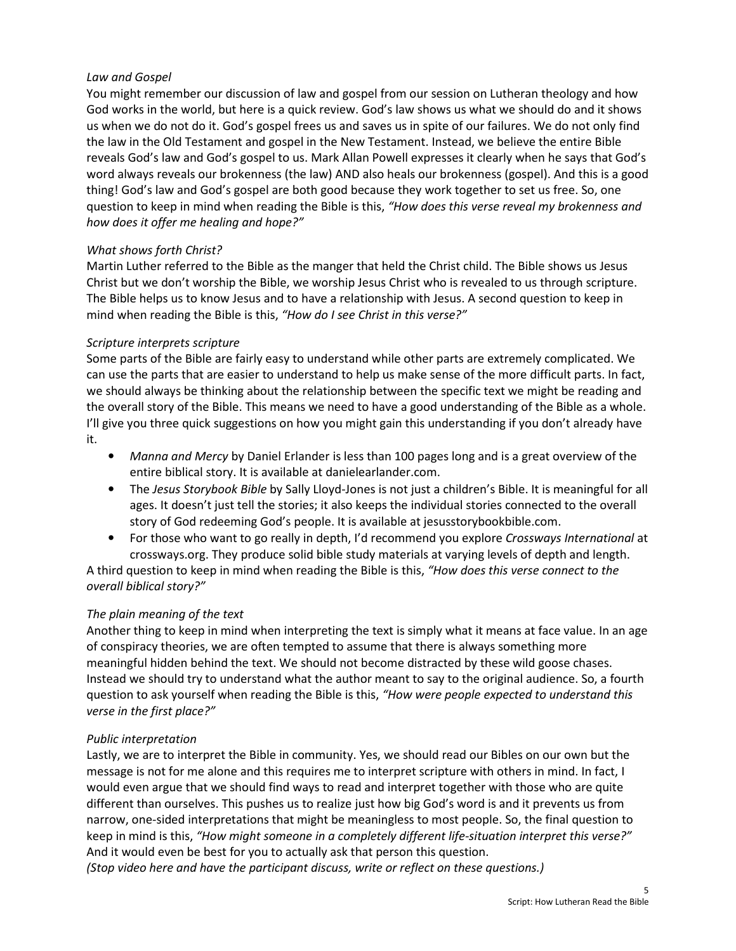# Law and Gospel

You might remember our discussion of law and gospel from our session on Lutheran theology and how God works in the world, but here is a quick review. God's law shows us what we should do and it shows us when we do not do it. God's gospel frees us and saves us in spite of our failures. We do not only find the law in the Old Testament and gospel in the New Testament. Instead, we believe the entire Bible reveals God's law and God's gospel to us. Mark Allan Powell expresses it clearly when he says that God's word always reveals our brokenness (the law) AND also heals our brokenness (gospel). And this is a good thing! God's law and God's gospel are both good because they work together to set us free. So, one question to keep in mind when reading the Bible is this, "How does this verse reveal my brokenness and how does it offer me healing and hope?"

# What shows forth Christ?

Martin Luther referred to the Bible as the manger that held the Christ child. The Bible shows us Jesus Christ but we don't worship the Bible, we worship Jesus Christ who is revealed to us through scripture. The Bible helps us to know Jesus and to have a relationship with Jesus. A second question to keep in mind when reading the Bible is this, "How do I see Christ in this verse?"

#### Scripture interprets scripture

Some parts of the Bible are fairly easy to understand while other parts are extremely complicated. We can use the parts that are easier to understand to help us make sense of the more difficult parts. In fact, we should always be thinking about the relationship between the specific text we might be reading and the overall story of the Bible. This means we need to have a good understanding of the Bible as a whole. I'll give you three quick suggestions on how you might gain this understanding if you don't already have it.

- Manna and Mercy by Daniel Erlander is less than 100 pages long and is a great overview of the entire biblical story. It is available at danielearlander.com.
- The Jesus Storybook Bible by Sally Lloyd-Jones is not just a children's Bible. It is meaningful for all ages. It doesn't just tell the stories; it also keeps the individual stories connected to the overall story of God redeeming God's people. It is available at jesusstorybookbible.com.
- For those who want to go really in depth, I'd recommend you explore Crossways International at crossways.org. They produce solid bible study materials at varying levels of depth and length.

A third question to keep in mind when reading the Bible is this, "How does this verse connect to the overall biblical story?"

#### The plain meaning of the text

Another thing to keep in mind when interpreting the text is simply what it means at face value. In an age of conspiracy theories, we are often tempted to assume that there is always something more meaningful hidden behind the text. We should not become distracted by these wild goose chases. Instead we should try to understand what the author meant to say to the original audience. So, a fourth question to ask yourself when reading the Bible is this, "How were people expected to understand this verse in the first place?"

#### Public interpretation

Lastly, we are to interpret the Bible in community. Yes, we should read our Bibles on our own but the message is not for me alone and this requires me to interpret scripture with others in mind. In fact, I would even argue that we should find ways to read and interpret together with those who are quite different than ourselves. This pushes us to realize just how big God's word is and it prevents us from narrow, one-sided interpretations that might be meaningless to most people. So, the final question to keep in mind is this, "How might someone in a completely different life-situation interpret this verse?" And it would even be best for you to actually ask that person this question.

(Stop video here and have the participant discuss, write or reflect on these questions.)